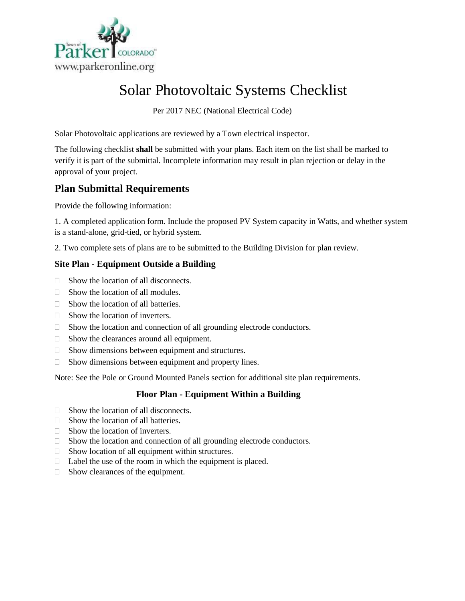

# Solar Photovoltaic Systems Checklist

Per 2017 NEC (National Electrical Code)

Solar Photovoltaic applications are reviewed by a Town electrical inspector.

The following checklist **shall** be submitted with your plans. Each item on the list shall be marked to verify it is part of the submittal. Incomplete information may result in plan rejection or delay in the approval of your project.

## **Plan Submittal Requirements**

Provide the following information:

1. A completed application form. Include the proposed PV System capacity in Watts, and whether system is a stand-alone, grid-tied, or hybrid system.

2. Two complete sets of plans are to be submitted to the Building Division for plan review.

## **Site Plan - Equipment Outside a Building**

- $\Box$  Show the location of all disconnects.
- $\Box$  Show the location of all modules.
- $\Box$  Show the location of all batteries.
- $\Box$  Show the location of inverters.
- □ Show the location and connection of all grounding electrode conductors.
- $\Box$  Show the clearances around all equipment.
- □ Show dimensions between equipment and structures.
- $\Box$  Show dimensions between equipment and property lines.

Note: See the Pole or Ground Mounted Panels section for additional site plan requirements.

## **Floor Plan - Equipment Within a Building**

- $\Box$  Show the location of all disconnects.
- $\Box$  Show the location of all batteries.
- $\Box$  Show the location of inverters.
- □ Show the location and connection of all grounding electrode conductors.
- $\Box$  Show location of all equipment within structures.
- $\Box$  Label the use of the room in which the equipment is placed.
- $\Box$  Show clearances of the equipment.